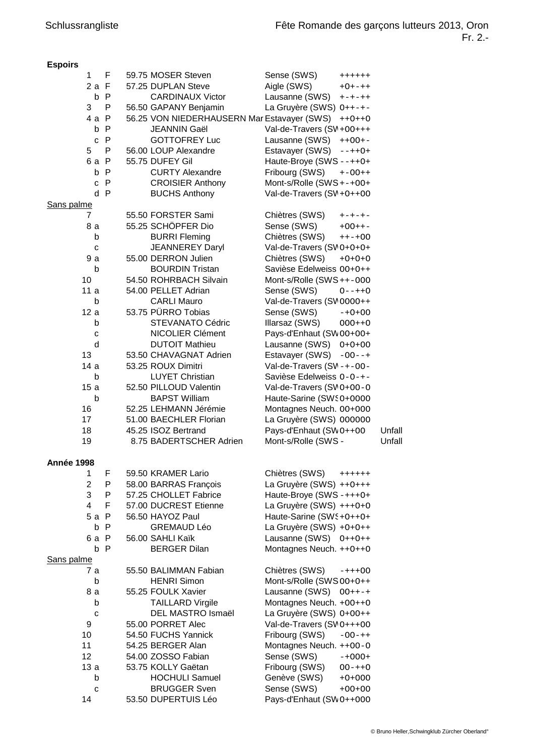| <b>Espoirs</b> |     |                                                    |                               |               |        |
|----------------|-----|----------------------------------------------------|-------------------------------|---------------|--------|
| $\mathbf{1}$   | F   | 59.75 MOSER Steven                                 | Sense (SWS)                   | $+++++$       |        |
| 2a F           |     | 57.25 DUPLAN Steve                                 | Aigle (SWS)                   | $+0+ - + +$   |        |
|                | b P | <b>CARDINAUX Victor</b>                            | Lausanne (SWS)                | $+ - + - + +$ |        |
| 3              | P   | 56.50 GAPANY Benjamin                              | La Gruyère (SWS) 0++-+-       |               |        |
| 4 a P          |     | 56.25 VON NIEDERHAUSERN Mar Estavayer (SWS) ++0++0 |                               |               |        |
|                | b P | JEANNIN Gaël                                       | Val-de-Travers (SV +00+++     |               |        |
|                |     |                                                    |                               |               |        |
|                | c P | <b>GOTTOFREY Luc</b>                               | Lausanne (SWS)                | $++OO+-$      |        |
| 5              | P   | 56.00 LOUP Alexandre                               | Estavayer (SWS) --++0+        |               |        |
| 6a P           |     | 55.75 DUFEY Gil                                    | Haute-Broye (SWS --++0+       |               |        |
|                | b P | <b>CURTY Alexandre</b>                             | Fribourg (SWS) +-00++         |               |        |
|                | c P | <b>CROISIER Anthony</b>                            | Mont-s/Rolle (SWS+-+00+       |               |        |
|                | d P | <b>BUCHS Anthony</b>                               | Val-de-Travers (SV +0++00     |               |        |
| Sans palme     |     |                                                    |                               |               |        |
| 7              |     | 55.50 FORSTER Sami                                 | Chiètres (SWS)                | +-+-+-        |        |
| 8 a            |     | 55.25 SCHÖPFER Dio                                 | Sense (SWS)                   | $+00++-$      |        |
| b              |     | <b>BURRI Fleming</b>                               | Chiètres (SWS)                | $++-+OO$      |        |
|                |     | <b>JEANNEREY Daryl</b>                             |                               |               |        |
| C              |     |                                                    | Val-de-Travers (SV 0+0+0+     |               |        |
| 9 a            |     | 55.00 DERRON Julien                                | Chiètres (SWS)                | $+O+O+O$      |        |
| b              |     | <b>BOURDIN Tristan</b>                             | Savièse Edelweiss 00+0++      |               |        |
| 10             |     | 54.50 ROHRBACH Silvain                             | Mont-s/Rolle (SWS++-000       |               |        |
| 11a            |     | 54.00 PELLET Adrian                                | Sense (SWS)                   | $0 - + + 0$   |        |
| b              |     | <b>CARLI Mauro</b>                                 | Val-de-Travers (SV 0000++     |               |        |
| 12a            |     | 53.75 PÜRRO Tobias                                 | Sense (SWS)                   | $-+0+00$      |        |
| b              |     | <b>STEVANATO Cédric</b>                            | Illarsaz (SWS)                | $000++0$      |        |
| C              |     | NICOLIER Clément                                   | Pays-d'Enhaut (SW 00+00+      |               |        |
| d              |     | <b>DUTOIT Mathieu</b>                              | Lausanne (SWS) 0+0+00         |               |        |
| 13             |     | 53.50 CHAVAGNAT Adrien                             |                               |               |        |
|                |     |                                                    | Estavayer (SWS) -00--+        |               |        |
| 14 a           |     | 53.25 ROUX Dimitri                                 | Val-de-Travers (SV-+-00-      |               |        |
| b              |     | <b>LUYET Christian</b>                             | Savièse Edelweiss 0-0-+-      |               |        |
| 15a            |     | 52.50 PILLOUD Valentin                             | Val-de-Travers (SV 0+00-0     |               |        |
| b              |     | <b>BAPST William</b>                               | Haute-Sarine (SWS0+0000       |               |        |
| 16             |     | 52.25 LEHMANN Jérémie                              | Montagnes Neuch. 00+000       |               |        |
| 17             |     | 51.00 BAECHLER Florian                             | La Gruyère (SWS) 000000       |               |        |
| 18             |     | 45.25 ISOZ Bertrand                                | Pays-d'Enhaut (SWO++00        |               | Unfall |
| 19             |     | 8.75 BADERTSCHER Adrien                            | Mont-s/Rolle (SWS-            |               | Unfall |
|                |     |                                                    |                               |               |        |
| Année 1998     |     |                                                    |                               |               |        |
| 1.             | F   | 59.50 KRAMER Lario                                 |                               |               |        |
|                |     |                                                    | Chiètres (SWS)                | $+++++$       |        |
| $\overline{c}$ | P   | 58.00 BARRAS François                              | La Gruyère (SWS) ++0+++       |               |        |
| 3              | P   | 57.25 CHOLLET Fabrice                              | Haute-Broye (SWS-+++0+        |               |        |
| $\overline{4}$ | F   | 57.00 DUCREST Etienne                              | La Gruyère (SWS) +++0+0       |               |        |
| $5a$ P         |     | 56.50 HAYOZ Paul                                   | Haute-Sarine (SWS + 0 + + 0 + |               |        |
|                | b P | <b>GREMAUD Léo</b>                                 | La Gruyère (SWS) +0+0++       |               |        |
| 6a P           |     | 56.00 SAHLI Kaïk                                   | Lausanne (SWS) 0++0++         |               |        |
|                | b P | <b>BERGER Dilan</b>                                | Montagnes Neuch. ++0++0       |               |        |
| Sans palme     |     |                                                    |                               |               |        |
| 7 a            |     | 55.50 BALIMMAN Fabian                              | Chiètres (SWS)                | $-+++OO$      |        |
| b              |     | <b>HENRI Simon</b>                                 | Mont-s/Rolle (SWS 00+0++      |               |        |
| 8 a            |     | 55.25 FOULK Xavier                                 | Lausanne (SWS) 00++-+         |               |        |
| b              |     | <b>TAILLARD Virgile</b>                            | Montagnes Neuch. +00++0       |               |        |
|                |     |                                                    |                               |               |        |
| C              |     | DEL MASTRO Ismaël                                  | La Gruyère (SWS) 0+00++       |               |        |
| 9              |     | 55.00 PORRET Alec                                  | Val-de-Travers (SV 0+++00     |               |        |
| 10             |     | 54.50 FUCHS Yannick                                | Fribourg (SWS)                | $-00-++$      |        |
| 11             |     | 54.25 BERGER Alan                                  | Montagnes Neuch. ++00-0       |               |        |
| 12             |     | 54.00 ZOSSO Fabian                                 | Sense (SWS)                   | $-+000+$      |        |
| 13a            |     | 53.75 KOLLY Gaëtan                                 | Fribourg (SWS)                | $00-++0$      |        |
| b              |     | <b>HOCHULI Samuel</b>                              | Genève (SWS)                  | $+0+000$      |        |
| С              |     | <b>BRUGGER Sven</b>                                | Sense (SWS)                   | $+00+00$      |        |

14 53.50 DUPERTUIS Léo Pays-d'Enhaut (SWO++OOO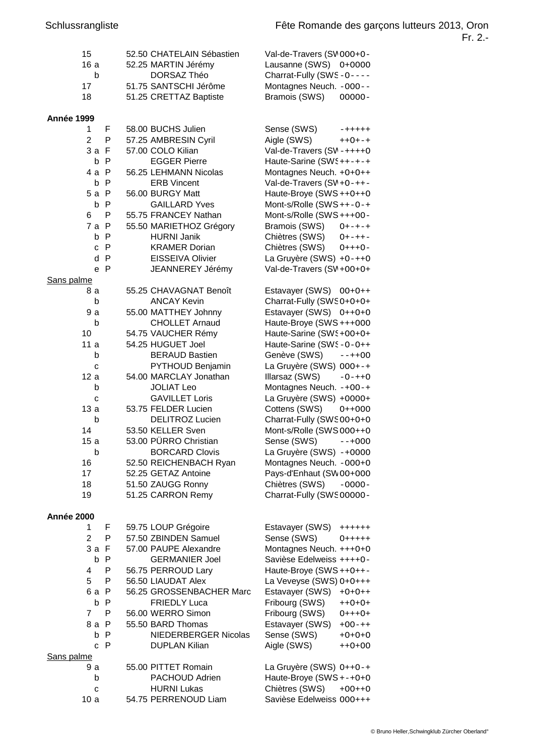| 15                |   | 52.50 CHATELAIN Sébastien | Val-de-Travers (SV 000+0-           |
|-------------------|---|---------------------------|-------------------------------------|
| 16a               |   | 52.25 MARTIN Jérémy       | Lausanne (SWS) 0+0000               |
| b                 |   | DORSAZ Théo               | Charrat-Fully (SWS-0----            |
| 17                |   | 51.75 SANTSCHI Jérôme     | Montagnes Neuch. - 000--            |
| 18                |   | 51.25 CRETTAZ Baptiste    | Bramois (SWS)<br>00000-             |
|                   |   |                           |                                     |
| Année 1999<br>1   | F | 58.00 BUCHS Julien        | Sense (SWS)                         |
| $\overline{2}$    | P |                           | $- + + + + +$                       |
|                   |   | 57.25 AMBRESIN Cyril      | Aigle (SWS)<br>$++O+-+$             |
| 3a F              |   | 57.00 COLO Kilian         | Val-de-Travers (SV-++++0            |
| b P               |   | <b>EGGER Pierre</b>       | Haute-Sarine (SWS ++-+-+            |
| 4 a P             |   | 56.25 LEHMANN Nicolas     | Montagnes Neuch. +0+0++             |
| b P               |   | <b>ERB Vincent</b>        | Val-de-Travers (SV +0-++-           |
| 5a P              |   | 56.00 BURGY Matt          | Haute-Broye (SWS ++0++0             |
| b P               |   | <b>GAILLARD Yves</b>      | Mont-s/Rolle (SWS++-0-+             |
| 6                 | P | 55.75 FRANCEY Nathan      | Mont-s/Rolle (SWS+++00-             |
| 7 a P             |   | 55.50 MARIETHOZ Grégory   | Bramois (SWS) 0+-+-+                |
| b P               |   | <b>HURNI Janik</b>        | Chiètres (SWS)<br>$0 + - + + -$     |
| c P               |   | <b>KRAMER Dorian</b>      | Chiètres (SWS)<br>$O+++O-$          |
| d P               |   | <b>EISSEIVA Olivier</b>   | La Gruyère (SWS) +0-++0             |
| e P               |   | JEANNEREY Jérémy          | Val-de-Travers (SV +00+0+           |
| Sans palme        |   |                           |                                     |
| 8а                |   | 55.25 CHAVAGNAT Benoît    | Estavayer (SWS) 00+0++              |
| b                 |   | <b>ANCAY Kevin</b>        | Charrat-Fully (SWSO+O+O+            |
| 9 a               |   | 55.00 MATTHEY Johnny      | Estavayer (SWS) 0++0+0              |
| b                 |   | <b>CHOLLET Arnaud</b>     | Haute-Broye (SWS +++000             |
| 10                |   | 54.75 VAUCHER Rémy        | Haute-Sarine (SWS +00+0+            |
|                   |   |                           |                                     |
| 11a               |   | 54.25 HUGUET Joel         | Haute-Sarine (SWS-0-0++             |
| b                 |   | <b>BERAUD Bastien</b>     | Genève (SWS) --++00                 |
| C                 |   | PYTHOUD Benjamin          | La Gruyère (SWS) 000+-+             |
| 12a               |   | 54.00 MARCLAY Jonathan    | Illarsaz (SWS)<br>$-0-++0$          |
| b                 |   | <b>JOLIAT Leo</b>         | Montagnes Neuch. -+00-+             |
| C                 |   | <b>GAVILLET Loris</b>     | La Gruyère (SWS) +0000+             |
| 13a               |   | 53.75 FELDER Lucien       | Cottens (SWS)<br>$O++OOO$           |
| b                 |   | DELITROZ Lucien           | Charrat-Fully (SWS00+0+0            |
| 14                |   | 53.50 KELLER Sven         | Mont-s/Rolle (SWS 000++0            |
| 15a               |   | 53.00 PÜRRO Christian     | Sense (SWS)<br>$--+000$             |
| $\mathsf{b}$      |   | <b>BORCARD Clovis</b>     | La Gruyère (SWS) -+0000             |
| 16                |   | 52.50 REICHENBACH Ryan    | Montagnes Neuch. - 000+0            |
| 17                |   | 52.25 GETAZ Antoine       | Pays-d'Enhaut (SW 00+000            |
| 18                |   | 51.50 ZAUGG Ronny         | Chiètres (SWS)<br>$-0000-$          |
| 19                |   | 51.25 CARRON Remy         | Charrat-Fully (SWS00000-            |
|                   |   |                           |                                     |
| Année 2000        |   |                           |                                     |
| 1                 | F | 59.75 LOUP Grégoire       | Estavayer (SWS)<br>$+++++$          |
| 2                 | P | 57.50 ZBINDEN Samuel      | Sense (SWS)<br>$0 + + + + +$        |
| 3a F              |   | 57.00 PAUPE Alexandre     | Montagnes Neuch. +++0+0             |
| b P               |   | <b>GERMANIER Joel</b>     | Savièse Edelweiss ++++0-            |
| 4                 | P | 56.75 PERROUD Lary        | Haute-Broye (SWS ++0++-             |
| 5                 | P | 56.50 LIAUDAT Alex        | La Veveyse (SWS) 0+0+++             |
|                   |   |                           |                                     |
| 6a P              |   | 56.25 GROSSENBACHER Marc  | Estavayer (SWS)<br>$+O+O++$         |
| b P               |   | <b>FRIEDLY Luca</b>       | Fribourg (SWS)<br>$+ + + + + + + +$ |
| 7                 | P | 56.00 WERRO Simon         | Fribourg (SWS)<br>$O+++O+$          |
| 8a P              |   | 55.50 BARD Thomas         | Estavayer (SWS)<br>$+00-++$         |
| b<br>$\mathsf{P}$ |   | NIEDERBERGER Nicolas      | Sense (SWS)<br>$+O+O+O$             |
| c P               |   | <b>DUPLAN Kilian</b>      | Aigle (SWS)<br>$++0+00$             |
| Sans palme        |   |                           |                                     |
| 9 a               |   | 55.00 PITTET Romain       | La Gruyère (SWS) 0++0-+             |
| b                 |   | PACHOUD Adrien            | Haute-Broye (SWS +-+0+0             |
| C                 |   | <b>HURNI Lukas</b>        | Chiètres (SWS)<br>$+00++0$          |
| 10a               |   | 54.75 PERRENOUD Liam      | Savièse Edelweiss 000+++            |
|                   |   |                           |                                     |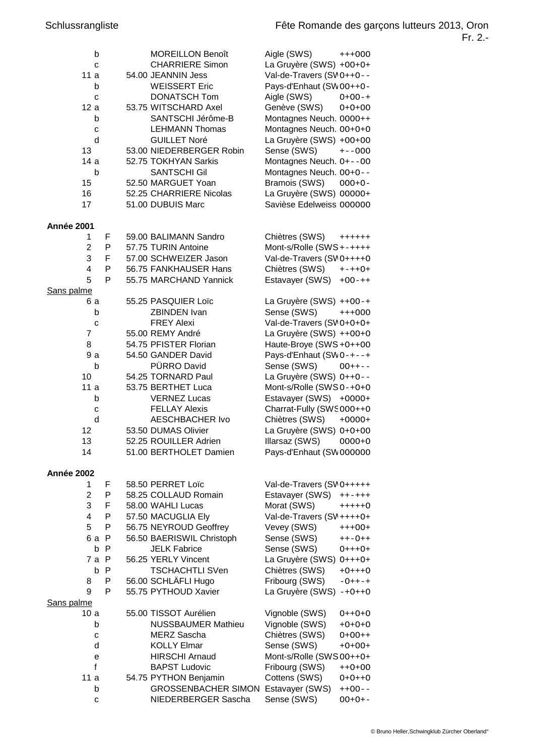| b<br>C<br>11a<br>b<br>C<br>12a<br>b<br>C<br>d<br>13<br>14a<br>b<br>15<br>16<br>17 |              | <b>MOREILLON Benoît</b><br><b>CHARRIERE Simon</b><br>54.00 JEANNIN Jess<br><b>WEISSERT Eric</b><br><b>DONATSCH Tom</b><br>53.75 WITSCHARD Axel<br>SANTSCHI Jérôme-B<br><b>LEHMANN Thomas</b><br><b>GUILLET Noré</b><br>53.00 NIEDERBERGER Robin<br>52.75 TOKHYAN Sarkis<br><b>SANTSCHI Gil</b><br>52.50 MARGUET Yoan<br>52.25 CHARRIERE Nicolas<br>51.00 DUBUIS Marc | Aigle (SWS)<br>La Gruyère (SWS) +00+0+<br>Val-de-Travers (SV 0++0--<br>Pays-d'Enhaut (SW 00++0-<br>Aigle (SWS)<br>Genève (SWS)<br>Montagnes Neuch. 0000++<br>Montagnes Neuch. 00+0+0<br>La Gruyère (SWS) +00+00<br>Sense (SWS)<br>Montagnes Neuch. 0+--00<br>Montagnes Neuch. 00+0--<br>Bramois (SWS)<br>La Gruyère (SWS) 00000+<br>Savièse Edelweiss 000000 | $+++000$<br>$0+00-+$<br>$0+0+00$<br>$+ - -000$<br>$000+0-$ |
|-----------------------------------------------------------------------------------|--------------|----------------------------------------------------------------------------------------------------------------------------------------------------------------------------------------------------------------------------------------------------------------------------------------------------------------------------------------------------------------------|--------------------------------------------------------------------------------------------------------------------------------------------------------------------------------------------------------------------------------------------------------------------------------------------------------------------------------------------------------------|------------------------------------------------------------|
| <b>Année 2001</b>                                                                 |              |                                                                                                                                                                                                                                                                                                                                                                      |                                                                                                                                                                                                                                                                                                                                                              |                                                            |
| 1                                                                                 | F            | 59.00 BALIMANN Sandro                                                                                                                                                                                                                                                                                                                                                | Chiètres (SWS)                                                                                                                                                                                                                                                                                                                                               | $+++++$                                                    |
| 2                                                                                 | P            | 57.75 TURIN Antoine                                                                                                                                                                                                                                                                                                                                                  | Mont-s/Rolle (SWS +-++++                                                                                                                                                                                                                                                                                                                                     |                                                            |
| 3                                                                                 | F            | 57.00 SCHWEIZER Jason                                                                                                                                                                                                                                                                                                                                                | Val-de-Travers (SV 0++++0                                                                                                                                                                                                                                                                                                                                    |                                                            |
| 4                                                                                 | P            | 56.75 FANKHAUSER Hans                                                                                                                                                                                                                                                                                                                                                | Chiètres (SWS)                                                                                                                                                                                                                                                                                                                                               | $+-++O+$                                                   |
| 5                                                                                 | P            | 55.75 MARCHAND Yannick                                                                                                                                                                                                                                                                                                                                               | Estavayer (SWS)                                                                                                                                                                                                                                                                                                                                              | $+00-++$                                                   |
|                                                                                   |              |                                                                                                                                                                                                                                                                                                                                                                      |                                                                                                                                                                                                                                                                                                                                                              |                                                            |
| Sans palme<br>6 a                                                                 |              | 55.25 PASQUIER Loïc                                                                                                                                                                                                                                                                                                                                                  | La Gruyère (SWS) ++00-+                                                                                                                                                                                                                                                                                                                                      |                                                            |
| b                                                                                 |              | ZBINDEN Ivan                                                                                                                                                                                                                                                                                                                                                         | Sense (SWS)                                                                                                                                                                                                                                                                                                                                                  |                                                            |
|                                                                                   |              | <b>FREY Alexi</b>                                                                                                                                                                                                                                                                                                                                                    | Val-de-Travers (SV 0+0+0+                                                                                                                                                                                                                                                                                                                                    | $+++000$                                                   |
| C                                                                                 |              | 55.00 REMY André                                                                                                                                                                                                                                                                                                                                                     |                                                                                                                                                                                                                                                                                                                                                              |                                                            |
| 7<br>8                                                                            |              | 54.75 PFISTER Florian                                                                                                                                                                                                                                                                                                                                                | La Gruyère (SWS) ++00+0                                                                                                                                                                                                                                                                                                                                      |                                                            |
| 9 a                                                                               |              | 54.50 GANDER David                                                                                                                                                                                                                                                                                                                                                   | Haute-Broye (SWS +0++00                                                                                                                                                                                                                                                                                                                                      |                                                            |
|                                                                                   |              |                                                                                                                                                                                                                                                                                                                                                                      | Pays-d'Enhaut (SWO-+--+                                                                                                                                                                                                                                                                                                                                      |                                                            |
| b                                                                                 |              | PÜRRO David                                                                                                                                                                                                                                                                                                                                                          | Sense (SWS)                                                                                                                                                                                                                                                                                                                                                  | $OO++--$                                                   |
| 10                                                                                |              | 54.25 TORNARD Paul                                                                                                                                                                                                                                                                                                                                                   | La Gruyère (SWS) 0++0--                                                                                                                                                                                                                                                                                                                                      |                                                            |
| 11a                                                                               |              | 53.75 BERTHET Luca                                                                                                                                                                                                                                                                                                                                                   | Mont-s/Rolle (SWS 0-+0+0                                                                                                                                                                                                                                                                                                                                     |                                                            |
| b                                                                                 |              | <b>VERNEZ Lucas</b>                                                                                                                                                                                                                                                                                                                                                  | Estavayer (SWS) +0000+                                                                                                                                                                                                                                                                                                                                       |                                                            |
| C                                                                                 |              | <b>FELLAY Alexis</b>                                                                                                                                                                                                                                                                                                                                                 | Charrat-Fully (SWS000++0                                                                                                                                                                                                                                                                                                                                     |                                                            |
| d                                                                                 |              | <b>AESCHBACHER Ivo</b>                                                                                                                                                                                                                                                                                                                                               | Chiètres (SWS)                                                                                                                                                                                                                                                                                                                                               | $+0000+$                                                   |
| 12                                                                                |              | 53.50 DUMAS Olivier                                                                                                                                                                                                                                                                                                                                                  | La Gruyère (SWS) 0+0+00                                                                                                                                                                                                                                                                                                                                      |                                                            |
| 13                                                                                |              | 52.25 ROUILLER Adrien                                                                                                                                                                                                                                                                                                                                                | Illarsaz (SWS)                                                                                                                                                                                                                                                                                                                                               | $0000+0$                                                   |
| 14                                                                                |              | 51.00 BERTHOLET Damien                                                                                                                                                                                                                                                                                                                                               | Pays-d'Enhaut (SW 000000                                                                                                                                                                                                                                                                                                                                     |                                                            |
|                                                                                   |              |                                                                                                                                                                                                                                                                                                                                                                      |                                                                                                                                                                                                                                                                                                                                                              |                                                            |
| Année 2002                                                                        |              |                                                                                                                                                                                                                                                                                                                                                                      |                                                                                                                                                                                                                                                                                                                                                              |                                                            |
| 1                                                                                 | F            | 58.50 PERRET Loïc                                                                                                                                                                                                                                                                                                                                                    | Val-de-Travers (SVO+++++                                                                                                                                                                                                                                                                                                                                     |                                                            |
| $\overline{2}$                                                                    | P            | 58.25 COLLAUD Romain                                                                                                                                                                                                                                                                                                                                                 | Estavayer (SWS)                                                                                                                                                                                                                                                                                                                                              | $+ + - + + +$                                              |
| 3                                                                                 | F            | 58.00 WAHLI Lucas                                                                                                                                                                                                                                                                                                                                                    | Morat (SWS)                                                                                                                                                                                                                                                                                                                                                  | $+++++O$                                                   |
| 4                                                                                 | P            | 57.50 MACUGLIA Ely                                                                                                                                                                                                                                                                                                                                                   | Val-de-Travers (SV ++++0+                                                                                                                                                                                                                                                                                                                                    |                                                            |
| 5                                                                                 | P            | 56.75 NEYROUD Geoffrey                                                                                                                                                                                                                                                                                                                                               | Vevey (SWS)                                                                                                                                                                                                                                                                                                                                                  | $+++OO+$                                                   |
| 6 a                                                                               | $\mathsf{P}$ | 56.50 BAERISWIL Christoph                                                                                                                                                                                                                                                                                                                                            | Sense (SWS)                                                                                                                                                                                                                                                                                                                                                  | $++-O++$                                                   |
| b                                                                                 | P            | <b>JELK Fabrice</b>                                                                                                                                                                                                                                                                                                                                                  | Sense (SWS)                                                                                                                                                                                                                                                                                                                                                  | $0$ +++0+                                                  |
| 7 a                                                                               | $\mathsf{P}$ | 56.25 YERLY Vincent                                                                                                                                                                                                                                                                                                                                                  | La Gruyère (SWS) 0+++0+                                                                                                                                                                                                                                                                                                                                      |                                                            |
| b                                                                                 | P            | <b>TSCHACHTLI SVen</b>                                                                                                                                                                                                                                                                                                                                               | Chiètres (SWS)                                                                                                                                                                                                                                                                                                                                               | $+O+++O$                                                   |
| 8                                                                                 | P            | 56.00 SCHLÄFLI Hugo                                                                                                                                                                                                                                                                                                                                                  | Fribourg (SWS)                                                                                                                                                                                                                                                                                                                                               | $-0++-+$                                                   |
| 9                                                                                 | P            | 55.75 PYTHOUD Xavier                                                                                                                                                                                                                                                                                                                                                 | La Gruyère (SWS) -+0++0                                                                                                                                                                                                                                                                                                                                      |                                                            |
| Sans palme                                                                        |              |                                                                                                                                                                                                                                                                                                                                                                      |                                                                                                                                                                                                                                                                                                                                                              |                                                            |
| 10 a                                                                              |              | 55.00 TISSOT Aurélien                                                                                                                                                                                                                                                                                                                                                | Vignoble (SWS)                                                                                                                                                                                                                                                                                                                                               | $O++O+O$                                                   |
| b                                                                                 |              | <b>NUSSBAUMER Mathieu</b>                                                                                                                                                                                                                                                                                                                                            | Vignoble (SWS)                                                                                                                                                                                                                                                                                                                                               | $+O+O+O$                                                   |
| C                                                                                 |              | <b>MERZ Sascha</b>                                                                                                                                                                                                                                                                                                                                                   | Chiètres (SWS)                                                                                                                                                                                                                                                                                                                                               | $0+00++$                                                   |
| d                                                                                 |              | <b>KOLLY Elmar</b>                                                                                                                                                                                                                                                                                                                                                   | Sense (SWS)                                                                                                                                                                                                                                                                                                                                                  | $+O+OO+$                                                   |
| е                                                                                 |              | <b>HIRSCHI Arnaud</b>                                                                                                                                                                                                                                                                                                                                                | Mont-s/Rolle (SWS 00++0+                                                                                                                                                                                                                                                                                                                                     |                                                            |
| f                                                                                 |              | <b>BAPST Ludovic</b>                                                                                                                                                                                                                                                                                                                                                 | Fribourg (SWS)                                                                                                                                                                                                                                                                                                                                               | $++O+OO$                                                   |
| 11a                                                                               |              | 54.75 PYTHON Benjamin                                                                                                                                                                                                                                                                                                                                                | Cottens (SWS)                                                                                                                                                                                                                                                                                                                                                | $O+O+ +O$                                                  |
| b                                                                                 |              | <b>GROSSENBACHER SIMON Estavayer (SWS)</b>                                                                                                                                                                                                                                                                                                                           |                                                                                                                                                                                                                                                                                                                                                              | $++00-$                                                    |
| С                                                                                 |              | NIEDERBERGER Sascha                                                                                                                                                                                                                                                                                                                                                  | Sense (SWS)                                                                                                                                                                                                                                                                                                                                                  | $OO+O+-$                                                   |
|                                                                                   |              |                                                                                                                                                                                                                                                                                                                                                                      |                                                                                                                                                                                                                                                                                                                                                              |                                                            |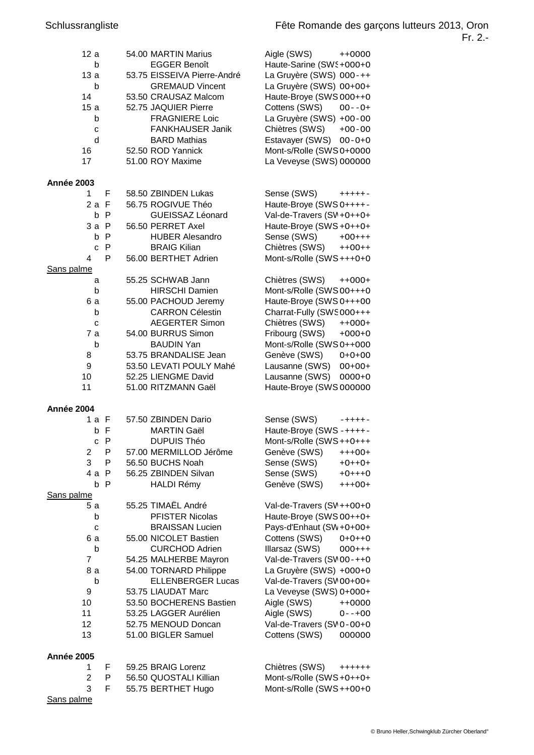| 12a               |              | 54.00 MARTIN Marius         | Aigle (SWS)<br>$++0000$                            |  |
|-------------------|--------------|-----------------------------|----------------------------------------------------|--|
| b                 |              | <b>EGGER Benoît</b>         | Haute-Sarine (SW § +000+0                          |  |
| 13a               |              | 53.75 EISSEIVA Pierre-André | La Gruyère (SWS) 000-++                            |  |
| b                 |              | <b>GREMAUD Vincent</b>      | La Gruyère (SWS) 00+00+                            |  |
| 14                |              | 53.50 CRAUSAZ Malcom        | Haute-Broye (SWS 000++0                            |  |
| 15a               |              | 52.75 JAQUIER Pierre        | Cottens (SWS) 00--0+                               |  |
| b                 |              | <b>FRAGNIERE Loic</b>       | La Gruyère (SWS) +00-00                            |  |
| C                 |              | FANKHAUSER Janik            | Chiètres (SWS)<br>$+00-00$                         |  |
| d                 |              | <b>BARD Mathias</b>         | Estavayer (SWS) 00-0+0                             |  |
| 16                |              | 52.50 ROD Yannick           | Mont-s/Rolle (SWS 0+0000                           |  |
| 17                |              | 51.00 ROY Maxime            | La Veveyse (SWS) 000000                            |  |
| Année 2003        |              |                             |                                                    |  |
| 1.                | F            | 58.50 ZBINDEN Lukas         | Sense $(SWS)$ $+++++-$                             |  |
| 2a F              |              | 56.75 ROGIVUE Théo          | Haute-Broye (SWS O++++-                            |  |
|                   | b P          | GUEISSAZ Léonard            | Val-de-Travers (SV + 0 + + 0 +                     |  |
| $3a$ $P$          |              | 56.50 PERRET Axel           | Haute-Broye (SWS +0++0+                            |  |
|                   | b P          | <b>HUBER Alesandro</b>      | Sense (SWS)<br>$+00++$                             |  |
|                   | c P          | <b>BRAIG Kilian</b>         | Chiètres (SWS) ++00++                              |  |
| 4                 | P            | 56.00 BERTHET Adrien        | Mont-s/Rolle (SWS+++0+0                            |  |
| Sans palme        |              |                             |                                                    |  |
| a                 |              | 55.25 SCHWAB Jann           | Chiètres (SWS) ++000+                              |  |
| b                 |              | <b>HIRSCHI Damien</b>       | Mont-s/Rolle (SWS 00+++0                           |  |
| 6 a               |              | 55.00 PACHOUD Jeremy        | Haute-Broye (SWS 0+++00                            |  |
| b                 |              | <b>CARRON Célestin</b>      | Charrat-Fully (SWS000+++                           |  |
| с                 |              | <b>AEGERTER Simon</b>       | Chiètres (SWS)<br>$++000+$                         |  |
| 7 a               |              | 54.00 BURRUS Simon          | Fribourg (SWS)<br>$+000+0$                         |  |
| b                 |              | <b>BAUDIN Yan</b>           | Mont-s/Rolle (SWS 0++000                           |  |
| 8                 |              | 53.75 BRANDALISE Jean       | Genève (SWS) 0+0+00                                |  |
| 9                 |              | 53.50 LEVATI POULY Mahé     | Lausanne (SWS)<br>$00+00+$                         |  |
| 10                |              | 52.25 LIENGME David         | Lausanne (SWS) 0000+0                              |  |
| 11                |              | 51.00 RITZMANN Gaël         | Haute-Broye (SWS 000000                            |  |
| Année 2004        |              |                             |                                                    |  |
|                   |              | 1 a F 57.50 ZBINDEN Dario   | Sense (SWS)                                        |  |
|                   | b F          | <b>MARTIN Gaël</b>          | $- + + + + -$                                      |  |
|                   | $\mathsf{P}$ | <b>DUPUIS Théo</b>          | Haute-Broye (SWS-++++-<br>Mont-s/Rolle (SWS ++0+++ |  |
| C                 |              |                             |                                                    |  |
| 2                 | P<br>P       | 57.00 MERMILLOD Jérôme      | Genève (SWS)<br>$+++OO+$                           |  |
| 3                 |              | 56.50 BUCHS Noah            | Sense (SWS)<br>$+O++O+$                            |  |
| 4 a P             |              | 56.25 ZBINDEN Silvan        | Sense (SWS)<br>$+O+++O$                            |  |
|                   | b P          | <b>HALDI Rémy</b>           | Genève (SWS)<br>$+++OO+$                           |  |
| Sans palme<br>5а  |              | 55.25 TIMAËL André          |                                                    |  |
|                   |              | <b>PFISTER Nicolas</b>      | Val-de-Travers (SV ++00+0                          |  |
| b                 |              | <b>BRAISSAN Lucien</b>      | Haute-Broye (SWS 00++0+                            |  |
| C                 |              |                             | Pays-d'Enhaut (SW+0+00+                            |  |
| 6а                |              | 55.00 NICOLET Bastien       | Cottens (SWS)<br>$O + O + + O$                     |  |
| b                 |              | <b>CURCHOD Adrien</b>       | Illarsaz (SWS)<br>$000++$                          |  |
| 7                 |              | 54.25 MALHERBE Mayron       | Val-de-Travers (SV 00-++0                          |  |
| 8а                |              | 54.00 TORNARD Philippe      | La Gruyère (SWS) +000+0                            |  |
| b                 |              | <b>ELLENBERGER Lucas</b>    | Val-de-Travers (SV 00+00+                          |  |
| 9                 |              | 53.75 LIAUDAT Marc          | La Veveyse (SWS) 0+000+                            |  |
| 10                |              | 53.50 BOCHERENS Bastien     | Aigle (SWS)<br>$++0000$                            |  |
| 11                |              | 53.25 LAGGER Aurélien       | Aigle (SWS)<br>$0--+00$                            |  |
| 12                |              | 52.75 MENOUD Doncan         | Val-de-Travers (SV 0-00+0                          |  |
| 13                |              | 51.00 BIGLER Samuel         | Cottens (SWS)<br>000000                            |  |
| <b>Année 2005</b> |              |                             |                                                    |  |
| 1                 | F            | 59.25 BRAIG Lorenz          | Chiètres (SWS)<br>$+++++$                          |  |
| 2                 | Ρ            | 56.50 QUOSTALI Killian      | Mont-s/Rolle (SWS +0++0+                           |  |
| 3                 | F            | 55.75 BERTHET Hugo          | Mont-s/Rolle (SWS ++00+0                           |  |

Sans palme